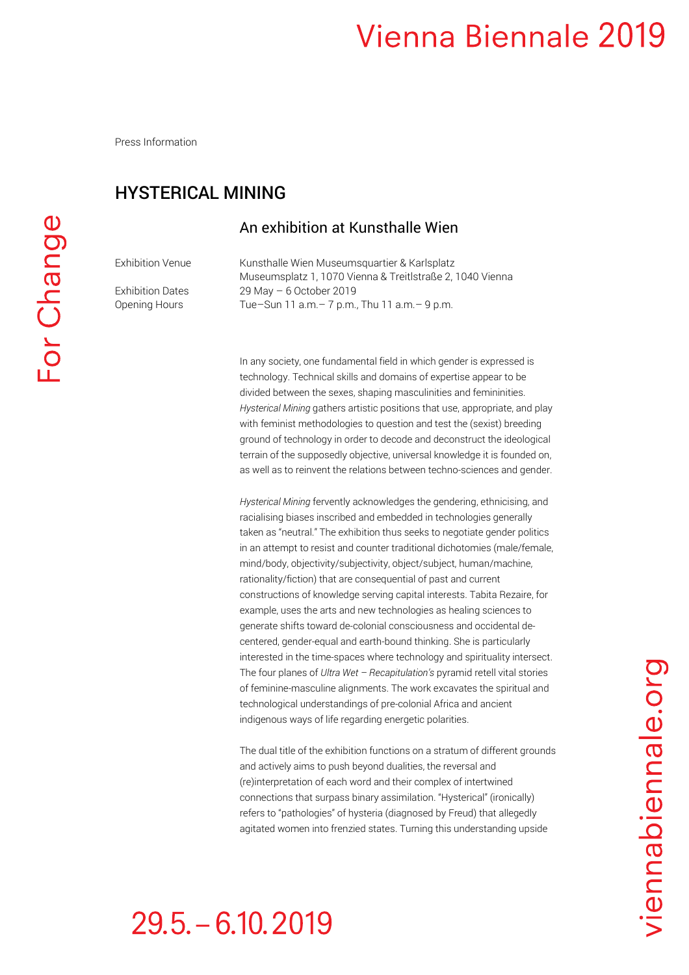Press Information

#### HYSTERICAL MINING

#### An exhibition at Kunsthalle Wien

Exhibition Venue Kunsthalle Wien Museumsquartier & Karlsplatz Museumsplatz 1, 1070 Vienna & Treitlstraße 2, 1040 Vienna Exhibition Dates 29 May – 6 October 2019 Opening Hours Tue–Sun 11 a.m.– 7 p.m., Thu 11 a.m.– 9 p.m.

> In any society, one fundamental field in which gender is expressed is technology. Technical skills and domains of expertise appear to be divided between the sexes, shaping masculinities and femininities. *Hysterical Mining* gathers artistic positions that use, appropriate, and play with feminist methodologies to question and test the (sexist) breeding ground of technology in order to decode and deconstruct the ideological terrain of the supposedly objective, universal knowledge it is founded on, as well as to reinvent the relations between techno-sciences and gender.

> *Hysterical Mining* fervently acknowledges the gendering, ethnicising, and racialising biases inscribed and embedded in technologies generally taken as "neutral." The exhibition thus seeks to negotiate gender politics in an attempt to resist and counter traditional dichotomies (male/female, mind/body, objectivity/subjectivity, object/subject, human/machine, rationality/fiction) that are consequential of past and current constructions of knowledge serving capital interests. Tabita Rezaire, for example, uses the arts and new technologies as healing sciences to generate shifts toward de-colonial consciousness and occidental decentered, gender-equal and earth-bound thinking. She is particularly interested in the time-spaces where technology and spirituality intersect. The four planes of *Ultra Wet – Recapitulation's* pyramid retell vital stories of feminine-masculine alignments. The work excavates the spiritual and technological understandings of pre-colonial Africa and ancient indigenous ways of life regarding energetic polarities.

The dual title of the exhibition functions on a stratum of different grounds and actively aims to push beyond dualities, the reversal and (re)interpretation of each word and their complex of intertwined connections that surpass binary assimilation. "Hysterical" (ironically) refers to "pathologies" of hysteria (diagnosed by Freud) that allegedly agitated women into frenzied states. Turning this understanding upside

# $29.5 - 6.10, 2019$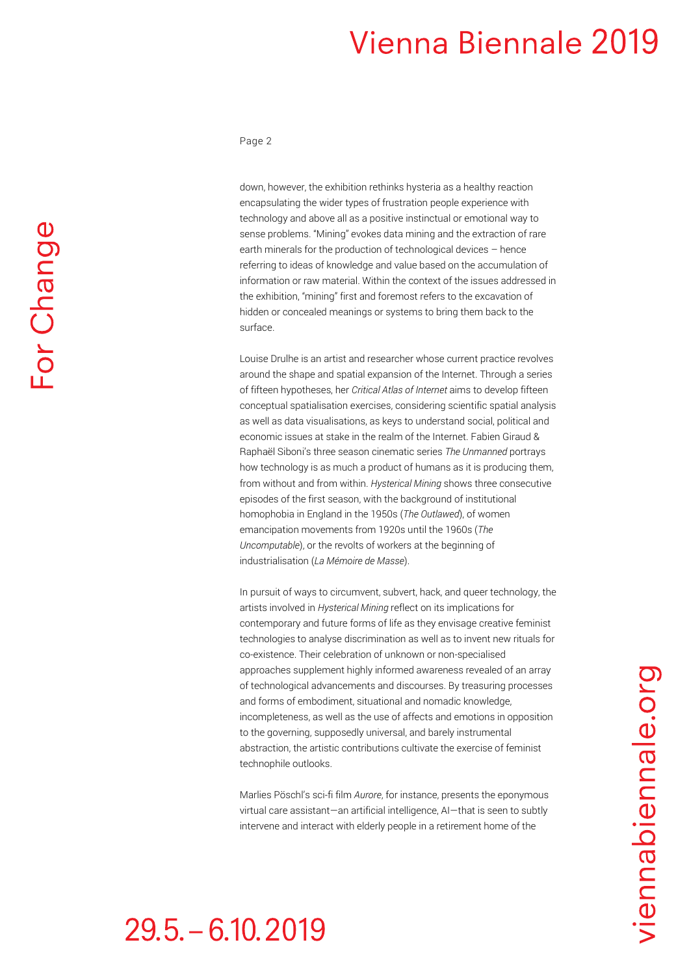#### Page 2

down, however, the exhibition rethinks hysteria as a healthy reaction encapsulating the wider types of frustration people experience with technology and above all as a positive instinctual or emotional way to sense problems. "Mining" evokes data mining and the extraction of rare earth minerals for the production of technological devices – hence referring to ideas of knowledge and value based on the accumulation of information or raw material. Within the context of the issues addressed in the exhibition, "mining" first and foremost refers to the excavation of hidden or concealed meanings or systems to bring them back to the surface.

Louise Drulhe is an artist and researcher whose current practice revolves around the shape and spatial expansion of the Internet. Through a series of fifteen hypotheses, her *Critical Atlas of Internet* aims to develop fifteen conceptual spatialisation exercises, considering scientific spatial analysis as well as data visualisations, as keys to understand social, political and economic issues at stake in the realm of the Internet. Fabien Giraud & Raphaël Siboni's three season cinematic series *The Unmanned* portrays how technology is as much a product of humans as it is producing them, from without and from within. *Hysterical Mining* shows three consecutive episodes of the first season, with the background of institutional homophobia in England in the 1950s (*The Outlawed*), of women emancipation movements from 1920s until the 1960s (*The Uncomputable*), or the revolts of workers at the beginning of industrialisation (*La Mémoire de Masse*).

In pursuit of ways to circumvent, subvert, hack, and queer technology, the artists involved in *Hysterical Mining* reflect on its implications for contemporary and future forms of life as they envisage creative feminist technologies to analyse discrimination as well as to invent new rituals for co-existence. Their celebration of unknown or non-specialised approaches supplement highly informed awareness revealed of an array of technological advancements and discourses. By treasuring processes and forms of embodiment, situational and nomadic knowledge, incompleteness, as well as the use of affects and emotions in opposition to the governing, supposedly universal, and barely instrumental abstraction, the artistic contributions cultivate the exercise of feminist technophile outlooks.

Marlies Pöschl's sci-fi film *Aurore*, for instance, presents the eponymous virtual care assistant—an artificial intelligence, AI—that is seen to subtly intervene and interact with elderly people in a retirement home of the

#### $29.5 - 6.10, 2019$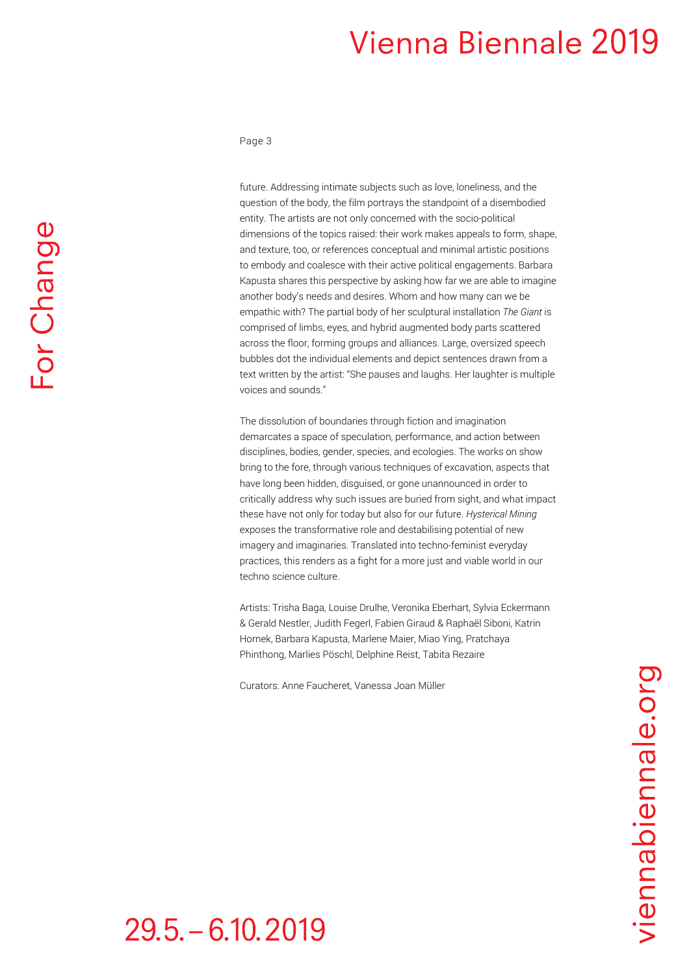Page 3

For Change

future. Addressing intimate subjects such as love, loneliness, and the question of the body, the film portrays the standpoint of a disembodied entity. The artists are not only concerned with the socio-political dimensions of the topics raised: their work makes appeals to form, shape, and texture, too, or references conceptual and minimal artistic positions to embody and coalesce with their active political engagements. Barbara Kapusta shares this perspective by asking how far we are able to imagine another body's needs and desires. Whom and how many can we be empathic with? The partial body of her sculptural installation *The Giant* is comprised of limbs, eyes, and hybrid augmented body parts scattered across the floor, forming groups and alliances. Large, oversized speech bubbles dot the individual elements and depict sentences drawn from a text written by the artist: "She pauses and laughs. Her laughter is multiple voices and sounds."

The dissolution of boundaries through fiction and imagination demarcates a space of speculation, performance, and action between disciplines, bodies, gender, species, and ecologies. The works on show bring to the fore, through various techniques of excavation, aspects that have long been hidden, disguised, or gone unannounced in order to critically address why such issues are buried from sight, and what impact these have not only for today but also for our future. *Hysterical Mining*  exposes the transformative role and destabilising potential of new imagery and imaginaries. Translated into techno-feminist everyday practices, this renders as a fight for a more just and viable world in our techno science culture.

Artists: Trisha Baga, Louise Drulhe, Veronika Eberhart, Sylvia Eckermann & Gerald Nestler, Judith Fegerl, Fabien Giraud & Raphaël Siboni, Katrin Hornek, Barbara Kapusta, Marlene Maier, Miao Ying, Pratchaya Phinthong, Marlies Pöschl, Delphine Reist, Tabita Rezaire

Curators: Anne Faucheret, Vanessa Joan Müller

 $29.5 - 6.10, 2019$